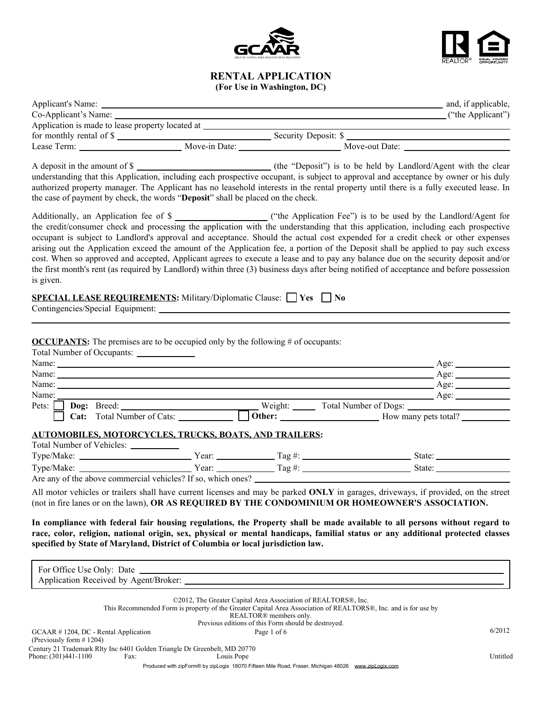



## **RENTAL APPLICATION (For Use in Washington, DC)**

| Applicant's Name: _                              |                      | and, if applicable, |
|--------------------------------------------------|----------------------|---------------------|
| Co-Applicant's Name:                             |                      | ("the Applicant")   |
| Application is made to lease property located at |                      |                     |
| for monthly rental of $\frac{1}{2}$              | Security Deposit: \$ |                     |
| Lease Term:                                      | Move-out Date:       |                     |
|                                                  |                      |                     |

A deposit in the amount of \$ understanding that this Application, including each prospective occupant, is subject to approval and acceptance by owner or his duly authorized property manager. The Applicant has no leasehold interests in the rental property until there is a fully executed lease. In the case of payment by check, the words "**Deposit**" shall be placed on the check.

Additionally, an Application fee of \$ the credit/consumer check and processing the application with the understanding that this application, including each prospective occupant is subject to Landlord's approval and acceptance. Should the actual cost expended for a credit check or other expenses arising out the Application exceed the amount of the Application fee, a portion of the Deposit shall be applied to pay such excess cost. When so approved and accepted, Applicant agrees to execute a lease and to pay any balance due on the security deposit and/or the first month's rent (as required by Landlord) within three (3) business days after being notified of acceptance and before possession is given.

| SPECIAL LEASE REQUIREMENTS: Military/Diplomatic Clause: □ Yes □ No |  |  |  |
|--------------------------------------------------------------------|--|--|--|
|--------------------------------------------------------------------|--|--|--|

Contingencies/Special Equipment:

**OCCUPANTS:** The premises are to be occupied only by the following # of occupants:  $Total Number of O$ 

| For Detail Number of Occupants:      |                       |
|--------------------------------------|-----------------------|
| Name:                                | Age:                  |
| Name:                                | $A$ ge:               |
| Name:                                | Age:                  |
| Name:                                | Age:                  |
| Pets:<br>Weight:                     | Total Number of Dogs: |
| Cat: Total Number of Cats:<br>Other: | How many pets total?  |
|                                      |                       |

### **AUTOMOBILES, MOTORCYCLES, TRUCKS, BOATS, AND TRAILERS:**

| Total Number of Vehicles:                                    |       |         |              |
|--------------------------------------------------------------|-------|---------|--------------|
| Type/Make:                                                   | Year: | Tag #:  | <b>State</b> |
| Type/Make:                                                   | Year: | l`ag #: | <b>State</b> |
| Are any of the above commercial vehicles? If so, which ones? |       |         |              |

All motor vehicles or trailers shall have current licenses and may be parked **ONLY** in garages, driveways, if provided, on the street (not in fire lanes or on the lawn), **OR AS REQUIRED BY THE CONDOMINIUM OR HOMEOWNER'S ASSOCIATION.**

**In compliance with federal fair housing regulations, the Property shall be made available to all persons without regard to race, color, religion, national origin, sex, physical or mental handicaps, familial status or any additional protected classes specified by State of Maryland, District of Columbia or local jurisdiction law.**

| For Office Use Only: Date                                                |      |                                                                                                                                                                                                                        |          |
|--------------------------------------------------------------------------|------|------------------------------------------------------------------------------------------------------------------------------------------------------------------------------------------------------------------------|----------|
| Application Received by Agent/Broker:                                    |      |                                                                                                                                                                                                                        |          |
|                                                                          |      | ©2012, The Greater Capital Area Association of REALTORS®, Inc.<br>This Recommended Form is property of the Greater Capital Area Association of REALTORS®, Inc. and is for use by<br>REALTOR <sup>®</sup> members only. |          |
|                                                                          |      | Previous editions of this Form should be destroyed.                                                                                                                                                                    |          |
| $GCAAR \# 1204$ , DC - Rental Application<br>(Previously form $\#$ 1204) |      | Page 1 of 6                                                                                                                                                                                                            | 6/2012   |
|                                                                          |      | Century 21 Trademark Rity Inc 6401 Golden Triangle Dr Greenbelt, MD 20770                                                                                                                                              |          |
| Phone: (301)441-1100                                                     | Fax: | Louis Pope                                                                                                                                                                                                             | Untitled |
|                                                                          |      | Produced with zipForm® by zipLogix 18070 Fifteen Mile Road, Fraser, Michigan 48026 www.zipLogix.com                                                                                                                    |          |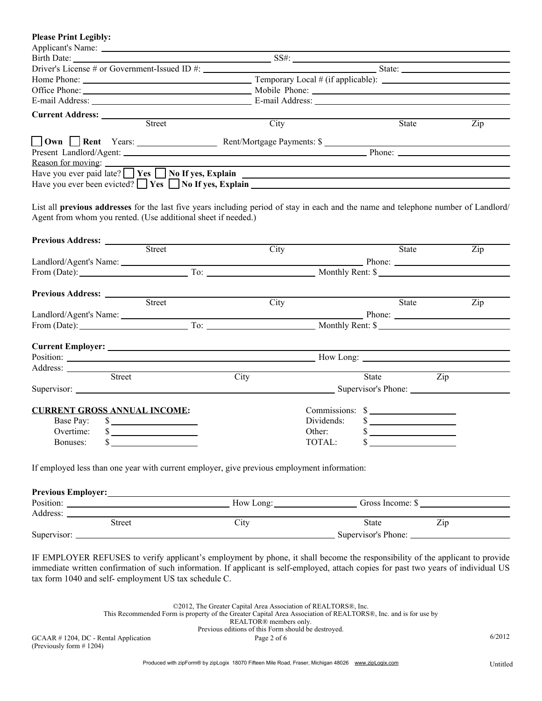| <b>Please Print Legibly:</b>                                                                                                                                                                                                   |      |            |                                                                   |                  |
|--------------------------------------------------------------------------------------------------------------------------------------------------------------------------------------------------------------------------------|------|------------|-------------------------------------------------------------------|------------------|
|                                                                                                                                                                                                                                |      |            |                                                                   |                  |
|                                                                                                                                                                                                                                |      |            |                                                                   |                  |
|                                                                                                                                                                                                                                |      |            |                                                                   |                  |
|                                                                                                                                                                                                                                |      |            |                                                                   |                  |
|                                                                                                                                                                                                                                |      |            |                                                                   |                  |
|                                                                                                                                                                                                                                |      |            |                                                                   |                  |
| <b>Current Address:</b> <u>Street</u>                                                                                                                                                                                          |      |            |                                                                   |                  |
|                                                                                                                                                                                                                                | City |            | State                                                             | $\overline{Zip}$ |
|                                                                                                                                                                                                                                |      |            |                                                                   |                  |
|                                                                                                                                                                                                                                |      |            |                                                                   |                  |
| Reason for moving:                                                                                                                                                                                                             |      |            |                                                                   |                  |
| Have you ever paid late? $\Box$ <b>Yes</b> $\Box$ <b>No If yes, Explain</b> $\Box$                                                                                                                                             |      |            |                                                                   |                  |
| Have you ever been evicted? $\Box$ Yes $\Box$ No If yes, Explain                                                                                                                                                               |      |            |                                                                   |                  |
|                                                                                                                                                                                                                                |      |            |                                                                   |                  |
| List all previous addresses for the last five years including period of stay in each and the name and telephone number of Landlord/                                                                                            |      |            |                                                                   |                  |
| Agent from whom you rented. (Use additional sheet if needed.)                                                                                                                                                                  |      |            |                                                                   |                  |
|                                                                                                                                                                                                                                |      |            |                                                                   |                  |
| Previous Address: <u>Street</u>                                                                                                                                                                                                |      |            |                                                                   |                  |
|                                                                                                                                                                                                                                | City |            | State                                                             | Zip              |
|                                                                                                                                                                                                                                |      |            |                                                                   |                  |
| From (Date): To: To: Monthly Rent: \$                                                                                                                                                                                          |      |            |                                                                   |                  |
|                                                                                                                                                                                                                                |      |            |                                                                   |                  |
|                                                                                                                                                                                                                                |      |            |                                                                   |                  |
| Previous Address: <u>Street</u>                                                                                                                                                                                                | City |            | State                                                             | Zip              |
|                                                                                                                                                                                                                                |      |            |                                                                   |                  |
|                                                                                                                                                                                                                                |      |            |                                                                   |                  |
|                                                                                                                                                                                                                                |      |            |                                                                   |                  |
|                                                                                                                                                                                                                                |      |            |                                                                   |                  |
| Position: Now Long: Now Long: Now Long: Now Long: Now Long: Now Long: Now Long: Now Long: Now Long: Now Long: Now Long: Now Long: Now Long: Now Long: Now Long: Now Long: Now Long: Now Long: Now Long: Now Long: Now Long: No |      |            |                                                                   |                  |
| Address: <u>Street</u><br>the control of the control of the control of the control of the control of                                                                                                                           |      |            |                                                                   |                  |
|                                                                                                                                                                                                                                | City |            | State                                                             | Zip              |
|                                                                                                                                                                                                                                |      |            |                                                                   |                  |
|                                                                                                                                                                                                                                |      |            |                                                                   |                  |
| <b>CURRENT GROSS ANNUAL INCOME:</b>                                                                                                                                                                                            |      |            | $Commission: \$                                                   |                  |
| Base Pay:<br>$\sim$                                                                                                                                                                                                            |      | Dividends: | $\sim$                                                            |                  |
| Overtime:<br>\$<br>the control of the control of the control of                                                                                                                                                                |      | Other:     | \$<br><u>and the state of the state of the state of the state</u> |                  |
| \$<br>Bonuses:                                                                                                                                                                                                                 |      | TOTAL:     | \$                                                                |                  |
|                                                                                                                                                                                                                                |      |            |                                                                   |                  |
| If employed less than one year with current employer, give previous employment information:                                                                                                                                    |      |            |                                                                   |                  |
|                                                                                                                                                                                                                                |      |            |                                                                   |                  |
|                                                                                                                                                                                                                                |      |            |                                                                   |                  |
|                                                                                                                                                                                                                                |      |            |                                                                   |                  |
|                                                                                                                                                                                                                                |      |            |                                                                   |                  |
| Position: Now Long: Now Long: Gross Income: \$                                                                                                                                                                                 |      |            |                                                                   |                  |
|                                                                                                                                                                                                                                |      |            |                                                                   |                  |
| Street                                                                                                                                                                                                                         | City |            | State<br>Zip                                                      |                  |

IF EMPLOYER REFUSES to verify applicant's employment by phone, it shall become the responsibility of the applicant to provide immediate written confirmation of such information. If applicant is self-employed, attach copies for past two years of individual US tax form 1040 and self- employment US tax schedule C.

> ©2012, The Greater Capital Area Association of REALTORS®, Inc. This Recommended Form is property of the Greater Capital Area Association of REALTORS®, Inc. and is for use by REALTOR® members only. Previous editions of this Form should be destroyed.

GCAAR  $\#$  1204, DC - Rental Application Page 2 of 6 6/2012 (Previously form # 1204)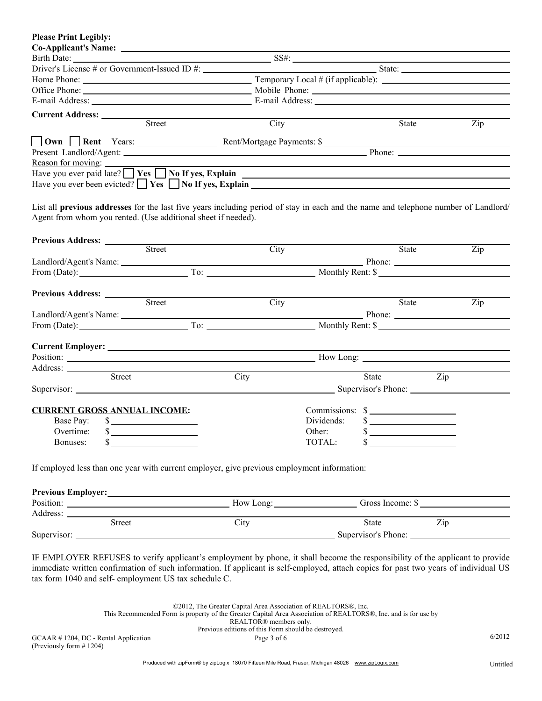| <b>Please Print Legibly:</b>                                                                                                                                                                                                            |      |                 |           |     |
|-----------------------------------------------------------------------------------------------------------------------------------------------------------------------------------------------------------------------------------------|------|-----------------|-----------|-----|
|                                                                                                                                                                                                                                         |      |                 |           |     |
|                                                                                                                                                                                                                                         |      |                 |           |     |
|                                                                                                                                                                                                                                         |      |                 |           |     |
|                                                                                                                                                                                                                                         |      |                 |           |     |
|                                                                                                                                                                                                                                         |      |                 |           |     |
|                                                                                                                                                                                                                                         |      |                 |           |     |
|                                                                                                                                                                                                                                         |      |                 |           |     |
| Street                                                                                                                                                                                                                                  | City |                 | State     | Zip |
|                                                                                                                                                                                                                                         |      |                 |           |     |
|                                                                                                                                                                                                                                         |      |                 |           |     |
| Reason for moving:                                                                                                                                                                                                                      |      |                 |           |     |
| Have you ever paid late? $\Box$ Yes $\Box$ No If yes, Explain $\Box$                                                                                                                                                                    |      |                 |           |     |
|                                                                                                                                                                                                                                         |      |                 |           |     |
|                                                                                                                                                                                                                                         |      |                 |           |     |
| List all previous addresses for the last five years including period of stay in each and the name and telephone number of Landlord/<br>Agent from whom you rented. (Use additional sheet if needed).<br>Previous Address: <u>Street</u> |      |                 |           |     |
|                                                                                                                                                                                                                                         | City |                 | State     | Zip |
|                                                                                                                                                                                                                                         |      |                 |           |     |
|                                                                                                                                                                                                                                         |      |                 |           |     |
|                                                                                                                                                                                                                                         |      |                 |           |     |
| Previous Address: <u>Street</u>                                                                                                                                                                                                         |      |                 |           |     |
|                                                                                                                                                                                                                                         | City |                 | State     | Zip |
|                                                                                                                                                                                                                                         |      |                 |           |     |
|                                                                                                                                                                                                                                         |      |                 |           |     |
|                                                                                                                                                                                                                                         |      |                 |           |     |
| Position: New Long: New Long: New Long: New Long: New Long: New Long: New Long: New Long: New Long: New Long: New Long: New Long: New Long: New Long: New Long: New Long: New Long: New Long: New Long: New Long: New Long: Ne          |      |                 |           |     |
|                                                                                                                                                                                                                                         |      |                 |           |     |
| Address: <u>West Street</u>                                                                                                                                                                                                             | City |                 | State Zip |     |
|                                                                                                                                                                                                                                         |      |                 |           |     |
|                                                                                                                                                                                                                                         |      |                 |           |     |
| <b>CURRENT GROSS ANNUAL INCOME:</b>                                                                                                                                                                                                     |      | Commissions: \$ |           |     |
| Base Pay:                                                                                                                                                                                                                               |      | Dividends:      | $\sim$    |     |
| Overtime:<br><u> 1980 - Johann Barn, mars ann an t-</u>                                                                                                                                                                                 |      | Other:          |           |     |
| Bonuses:<br>the control of the control of the control of                                                                                                                                                                                |      | TOTAL:          |           |     |
| If employed less than one year with current employer, give previous employment information:                                                                                                                                             |      |                 |           |     |
|                                                                                                                                                                                                                                         |      |                 |           |     |
| Position: New Long: New Long: Gross Income: \$                                                                                                                                                                                          |      |                 |           |     |
|                                                                                                                                                                                                                                         |      |                 |           |     |
| Street                                                                                                                                                                                                                                  | City | State           | Zip       |     |
|                                                                                                                                                                                                                                         |      |                 |           |     |

IF EMPLOYER REFUSES to verify applicant's employment by phone, it shall become the responsibility of the applicant to provide immediate written confirmation of such information. If applicant is self-employed, attach copies for past two years of individual US tax form 1040 and self- employment US tax schedule C.

> ©2012, The Greater Capital Area Association of REALTORS®, Inc. This Recommended Form is property of the Greater Capital Area Association of REALTORS®, Inc. and is for use by REALTOR® members only. Previous editions of this Form should be destroyed.

GCAAR  $\#$  1204, DC - Rental Application Page 3 of 6 6/2012 (Previously form # 1204)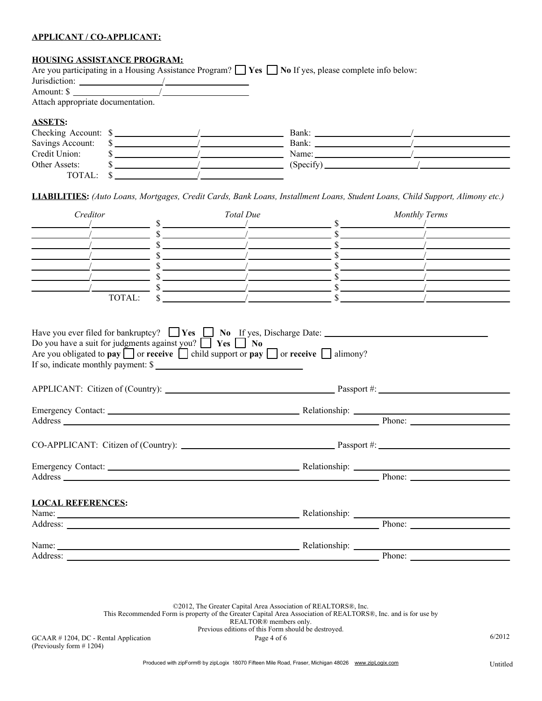#### **APPLICANT / CO-APPLICANT:**

## **HOUSING ASSISTANCE PROGRAM:**

|                                   |  | Are you participating in a Housing Assistance Program? $\Box$ Yes $\Box$ No If yes, please complete info below: |  |
|-----------------------------------|--|-----------------------------------------------------------------------------------------------------------------|--|
| Jurisdiction:                     |  |                                                                                                                 |  |
| Amount: \$                        |  |                                                                                                                 |  |
| Attach appropriate documentation. |  |                                                                                                                 |  |
| <b>ASSETS:</b>                    |  |                                                                                                                 |  |
| Checking Account: \$              |  | Bank:                                                                                                           |  |
| Savings Account:                  |  | Bank:                                                                                                           |  |
| Credit Union:                     |  | Name:                                                                                                           |  |
| Other Assets:                     |  | $(Specify)$ <sub>____</sub>                                                                                     |  |
| TOTAL:                            |  |                                                                                                                 |  |

**LIABILITIES:** *(Auto Loans, Mortgages, Credit Cards, Bank Loans, Installment Loans, Student Loans, Child Support, Alimony etc.)*

| Creditor                                                                                                                                                                                                                                                                                                                              | Total Due                                                                                                                                                                                                                                                                                                                        | <b>Monthly Terms</b> |
|---------------------------------------------------------------------------------------------------------------------------------------------------------------------------------------------------------------------------------------------------------------------------------------------------------------------------------------|----------------------------------------------------------------------------------------------------------------------------------------------------------------------------------------------------------------------------------------------------------------------------------------------------------------------------------|----------------------|
|                                                                                                                                                                                                                                                                                                                                       | $\sim$ \$<br>$\sim$ \$                                                                                                                                                                                                                                                                                                           |                      |
|                                                                                                                                                                                                                                                                                                                                       | $\sim$ \$                                                                                                                                                                                                                                                                                                                        |                      |
|                                                                                                                                                                                                                                                                                                                                       |                                                                                                                                                                                                                                                                                                                                  |                      |
|                                                                                                                                                                                                                                                                                                                                       | $\sim$ \$                                                                                                                                                                                                                                                                                                                        |                      |
|                                                                                                                                                                                                                                                                                                                                       | $\sim$ \$<br>$\frac{1}{2}$ $\frac{1}{2}$ $\frac{1}{2}$ $\frac{1}{2}$ $\frac{1}{2}$ $\frac{1}{2}$ $\frac{1}{2}$ $\frac{1}{2}$ $\frac{1}{2}$ $\frac{1}{2}$ $\frac{1}{2}$ $\frac{1}{2}$ $\frac{1}{2}$ $\frac{1}{2}$ $\frac{1}{2}$ $\frac{1}{2}$ $\frac{1}{2}$ $\frac{1}{2}$ $\frac{1}{2}$ $\frac{1}{2}$ $\frac{1}{2}$ $\frac{1}{2}$ |                      |
| TOTAL:                                                                                                                                                                                                                                                                                                                                | $\frac{\sqrt{2}}{2}$                                                                                                                                                                                                                                                                                                             |                      |
| Have you ever filed for bankruptcy? $\Box$ <b>Yes</b> $\Box$ <b>No</b> $\underline{If}$ yes, Discharge Date:<br>Do you have a suit for judgments against you? $\Box$ Yes $\Box$ No<br>Are you obligated to pay $\Box$ or receive $\Box$ child support or pay $\Box$ or receive $\Box$ alimony?<br>If so, indicate monthly payment: \$ |                                                                                                                                                                                                                                                                                                                                  |                      |
|                                                                                                                                                                                                                                                                                                                                       |                                                                                                                                                                                                                                                                                                                                  |                      |
|                                                                                                                                                                                                                                                                                                                                       |                                                                                                                                                                                                                                                                                                                                  |                      |
| Address Phone: Phone: Phone: Phone: Phone: Phone: Phone: Phone: Phone: Phone: Phone: Phone: Phone: Phone: Phone: Phone: Phone: Phone: Phone: Phone: Phone: Phone: Phone: Phone: Phone: Phone: Phone: Phone: Phone: Phone: Phon                                                                                                        |                                                                                                                                                                                                                                                                                                                                  |                      |
|                                                                                                                                                                                                                                                                                                                                       |                                                                                                                                                                                                                                                                                                                                  |                      |
|                                                                                                                                                                                                                                                                                                                                       |                                                                                                                                                                                                                                                                                                                                  |                      |
|                                                                                                                                                                                                                                                                                                                                       |                                                                                                                                                                                                                                                                                                                                  |                      |
|                                                                                                                                                                                                                                                                                                                                       |                                                                                                                                                                                                                                                                                                                                  |                      |
| <b>LOCAL REFERENCES:</b>                                                                                                                                                                                                                                                                                                              |                                                                                                                                                                                                                                                                                                                                  |                      |
| Name: Name: Name: Name: Name: Name: Name: Name: Name: Name: Name: Name: Name: Name: Name: Name: Name: Name: Name: Name: Name: Name: Name: Name: Name: Name: Name: Name: Name: Name: Name: Name: Name: Name: Name: Name: Name:                                                                                                         |                                                                                                                                                                                                                                                                                                                                  |                      |
| Address: Phone: Phone: Phone: Phone: Phone: Phone: Phone: Phone: Phone: Phone: Phone: Phone: Phone: Phone: Phone: Phone: Phone: Phone: Phone: Phone: Phone: Phone: Phone: Phone: Phone: Phone: Phone: Phone: Phone: Phone: Pho                                                                                                        |                                                                                                                                                                                                                                                                                                                                  |                      |
| Name: <u>Name:</u> Relationship: Relationship: Relationship: 2004                                                                                                                                                                                                                                                                     |                                                                                                                                                                                                                                                                                                                                  |                      |
| Address: No. 1996. The Contract of the Contract of the Contract of the Contract of the Contract of the Contract of the Contract of the Contract of the Contract of the Contract of the Contract of the Contract of the Contrac                                                                                                        |                                                                                                                                                                                                                                                                                                                                  | <b>Phone:</b>        |

©2012, The Greater Capital Area Association of REALTORS®, Inc. This Recommended Form is property of the Greater Capital Area Association of REALTORS®, Inc. and is for use by REALTOR® members only. Previous editions of this Form should be destroyed.

GCAAR  $\#$  1204, DC - Rental Application  $Page\ 4 of 6$  6/2012 (Previously form # 1204)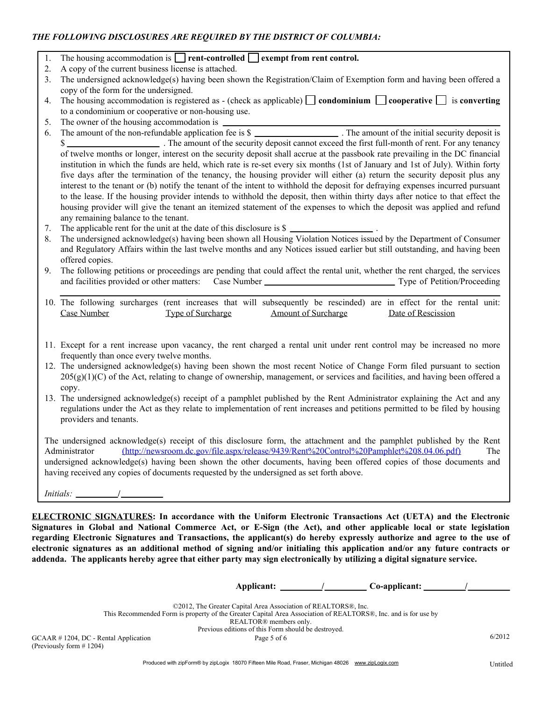# *THE FOLLOWING DISCLOSURES ARE REQUIRED BY THE DISTRICT OF COLUMBIA:*

|  | The housing accommodation is $\Box$ rent-controlled $\Box$ exempt from rent control. |  |  |
|--|--------------------------------------------------------------------------------------|--|--|
|--|--------------------------------------------------------------------------------------|--|--|

- 2. A copy of the current business license is attached.
- 3. The undersigned acknowledge(s) having been shown the Registration/Claim of Exemption form and having been offered a copy of the form for the undersigned.

4. The housing accommodation is registered as - (check as applicable)  $\Box$  **condominium**  $\Box$  **cooperative**  $\Box$  is **converting** to a condominium or cooperative or non-housing use.

5. The owner of the housing accommodation is

6. The amount of the non-refundable application fee is \$ . The amount of the initial security deposit is \$ of twelve months or longer, interest on the security deposit shall accrue at the passbook rate prevailing in the DC financial institution in which the funds are held, which rate is re-set every six months (1st of January and 1st of July). Within forty five days after the termination of the tenancy, the housing provider will either (a) return the security deposit plus any interest to the tenant or (b) notify the tenant of the intent to withhold the deposit for defraying expenses incurred pursuant to the lease. If the housing provider intends to withhold the deposit, then within thirty days after notice to that effect the housing provider will give the tenant an itemized statement of the expenses to which the deposit was applied and refund any remaining balance to the tenant.

- 7. The applicable rent for the unit at the date of this disclosure is \$ .
- 8. The undersigned acknowledge(s) having been shown all Housing Violation Notices issued by the Department of Consumer and Regulatory Affairs within the last twelve months and any Notices issued earlier but still outstanding, and having been offered copies.
- 9. The following petitions or proceedings are pending that could affect the rental unit, whether the rent charged, the services and facilities provided or other matters: Case Number Type of Petition/Proceeding
- 10. The following surcharges (rent increases that will subsequently be rescinded) are in effect for the rental unit: Case Number Type of Surcharge Amount of Surcharge Date of Rescission
- 11. Except for a rent increase upon vacancy, the rent charged a rental unit under rent control may be increased no more frequently than once every twelve months.
- 12. The undersigned acknowledge(s) having been shown the most recent Notice of Change Form filed pursuant to section  $205(g)(1)(C)$  of the Act, relating to change of ownership, management, or services and facilities, and having been offered a copy.
- 13. The undersigned acknowledge(s) receipt of a pamphlet published by the Rent Administrator explaining the Act and any regulations under the Act as they relate to implementation of rent increases and petitions permitted to be filed by housing providers and tenants.

The undersigned acknowledge(s) receipt of this disclosure form, the attachment and the pamphlet published by the Rent Administrator (http://newsroom.dc.gov/file.aspx/release/9439/Rent%20Control%20Pamphlet%208.04.06.pdf) The undersigned acknowledge(s) having been shown the other documents, having been offered copies of those documents and having received any copies of documents requested by the undersigned as set forth above.

*Initials:*  $\_\$ 

**ELECTRONIC SIGNATURES: In accordance with the Uniform Electronic Transactions Act (UETA) and the Electronic Signatures in Global and National Commerce Act, or E-Sign (the Act), and other applicable local or state legislation regarding Electronic Signatures and Transactions, the applicant(s) do hereby expressly authorize and agree to the use of electronic signatures as an additional method of signing and/or initialing this application and/or any future contracts or addenda. The applicants hereby agree that either party may sign electronically by utilizing a digital signature service.**

**Applicant: / Co-applicant: /**

|                                           | ©2012, The Greater Capital Area Association of REALTORS®, Inc.                                                 |        |
|-------------------------------------------|----------------------------------------------------------------------------------------------------------------|--------|
|                                           | This Recommended Form is property of the Greater Capital Area Association of REALTORS®, Inc. and is for use by |        |
|                                           | REALTOR® members only.                                                                                         |        |
|                                           | Previous editions of this Form should be destroyed.                                                            |        |
| $GCAAR \# 1204$ , DC - Rental Application | Page 5 of 6                                                                                                    | 6/2012 |